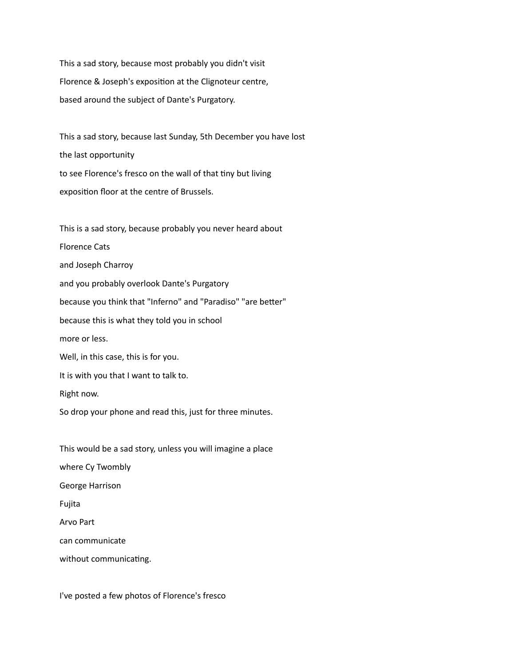This a sad story, because most probably you didn't visit Florence & Joseph's exposition at the Clignoteur centre, based around the subject of Dante's Purgatory.

This a sad story, because last Sunday, 5th December you have lost the last opportunity to see Florence's fresco on the wall of that tiny but living exposition floor at the centre of Brussels.

This is a sad story, because probably you never heard about Florence Cats and Joseph Charroy and you probably overlook Dante's Purgatory because you think that "Inferno" and "Paradiso" "are better" because this is what they told you in school more or less. Well, in this case, this is for you. It is with you that I want to talk to. Right now.

So drop your phone and read this, just for three minutes.

This would be a sad story, unless you will imagine a place where Cy Twombly George Harrison Fujita Arvo Part can communicate without communicating.

I've posted a few photos of Florence's fresco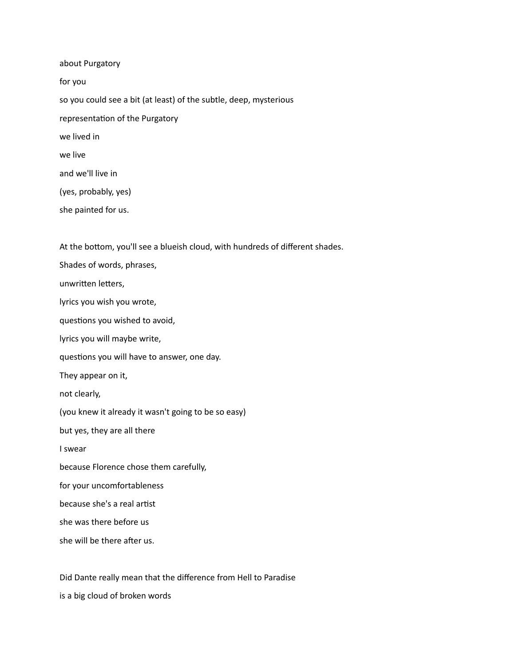about Purgatory for you so you could see a bit (at least) of the subtle, deep, mysterious representation of the Purgatory we lived in we live and we'll live in (yes, probably, yes) she painted for us.

At the bottom, you'll see a blueish cloud, with hundreds of different shades.

Shades of words, phrases, unwritten letters, lyrics you wish you wrote, questions you wished to avoid, lyrics you will maybe write, questions you will have to answer, one day. They appear on it, not clearly, (you knew it already it wasn't going to be so easy) but yes, they are all there I swear because Florence chose them carefully, for your uncomfortableness because she's a real artist she was there before us she will be there after us.

Did Dante really mean that the difference from Hell to Paradise

is a big cloud of broken words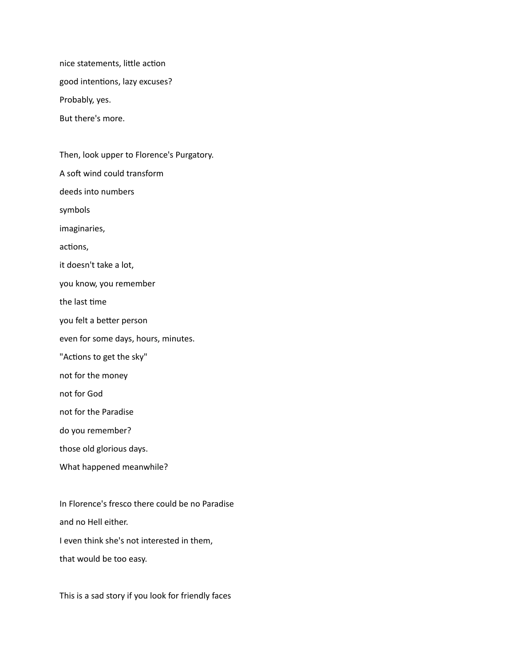nice statements, little action good intentions, lazy excuses? Probably, yes. But there's more.

Then, look upper to Florence's Purgatory. A soft wind could transform deeds into numbers symbols imaginaries, actions, it doesn't take a lot, you know, you remember the last time you felt a better person even for some days, hours, minutes. "Actions to get the sky" not for the money not for God not for the Paradise do you remember? those old glorious days. What happened meanwhile?

In Florence's fresco there could be no Paradise and no Hell either. I even think she's not interested in them, that would be too easy.

This is a sad story if you look for friendly faces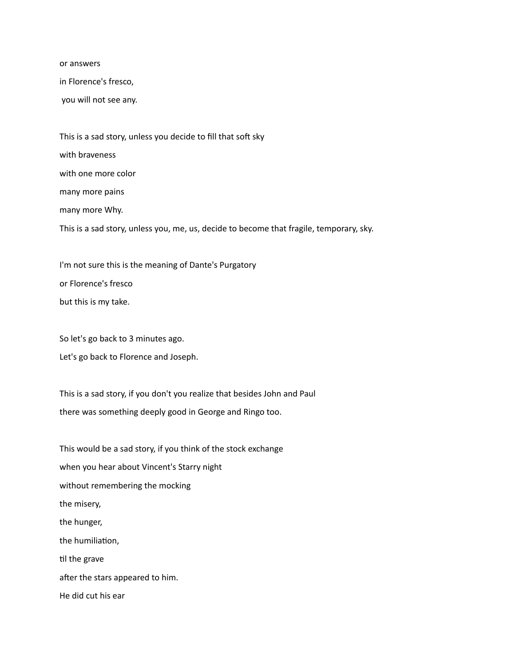or answers

in Florence's fresco,

you will not see any.

This is a sad story, unless you decide to fill that soft sky with braveness with one more color many more pains many more Why. This is a sad story, unless you, me, us, decide to become that fragile, temporary, sky.

I'm not sure this is the meaning of Dante's Purgatory or Florence's fresco but this is my take.

So let's go back to 3 minutes ago.

Let's go back to Florence and Joseph.

This is a sad story, if you don't you realize that besides John and Paul there was something deeply good in George and Ringo too.

This would be a sad story, if you think of the stock exchange when you hear about Vincent's Starry night without remembering the mocking the misery, the hunger, the humiliation, til the grave after the stars appeared to him. He did cut his ear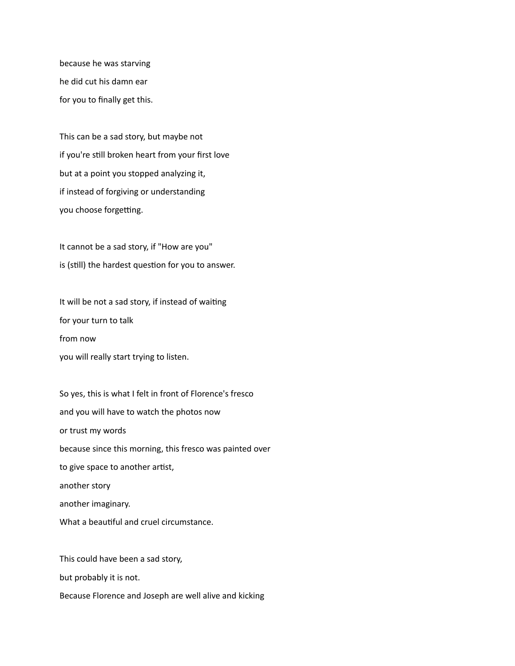because he was starving he did cut his damn ear for you to finally get this.

This can be a sad story, but maybe not if you're still broken heart from your first love but at a point you stopped analyzing it, if instead of forgiving or understanding you choose forgetting.

It cannot be a sad story, if "How are you" is (still) the hardest question for you to answer.

It will be not a sad story, if instead of waiting for your turn to talk from now you will really start trying to listen.

So yes, this is what I felt in front of Florence's fresco and you will have to watch the photos now or trust my words because since this morning, this fresco was painted over to give space to another artist, another story another imaginary. What a beautiful and cruel circumstance.

This could have been a sad story, but probably it is not. Because Florence and Joseph are well alive and kicking